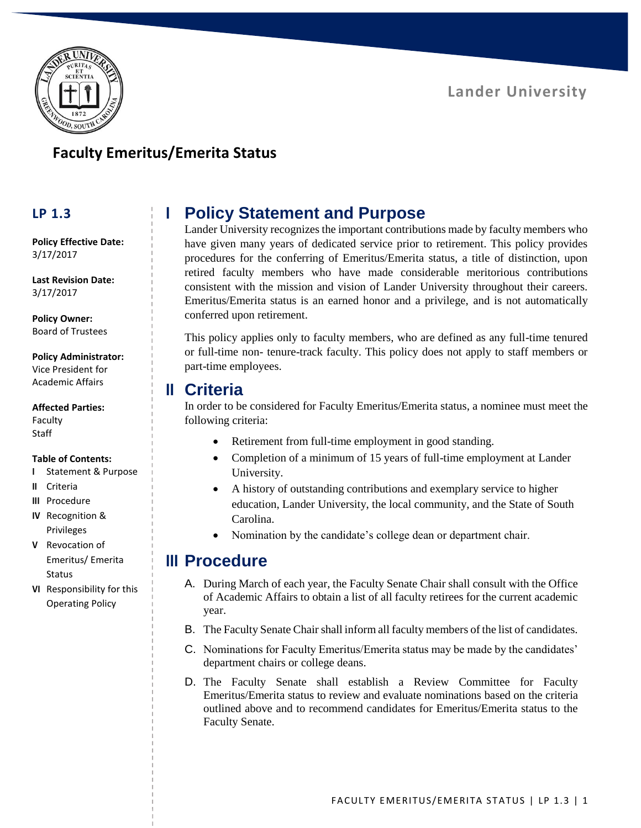

## **Faculty Emeritus/Emerita Status**

#### **LP 1.3**

**Policy Effective Date:** 3/17/2017

**Last Revision Date:** 3/17/2017

**Policy Owner:** Board of Trustees

#### **Policy Administrator:**

Vice President for Academic Affairs

**Affected Parties:**

Faculty **Staff** 

#### **Table of Contents:**

- **I** Statement & Purpose
- **II** Criteria
- **III** Procedure
- **IV** Recognition & Privileges
- **V** Revocation of Emeritus/ Emerita Status
- **VI** Responsibility for this Operating Policy

# **I Policy Statement and Purpose**

Lander University recognizes the important contributions made by faculty members who have given many years of dedicated service prior to retirement. This policy provides procedures for the conferring of Emeritus/Emerita status, a title of distinction, upon retired faculty members who have made considerable meritorious contributions consistent with the mission and vision of Lander University throughout their careers. Emeritus/Emerita status is an earned honor and a privilege, and is not automatically conferred upon retirement.

This policy applies only to faculty members, who are defined as any full-time tenured or full-time non- tenure-track faculty. This policy does not apply to staff members or part-time employees.

#### **II Criteria**

In order to be considered for Faculty Emeritus/Emerita status, a nominee must meet the following criteria:

- Retirement from full-time employment in good standing.
- Completion of a minimum of 15 years of full-time employment at Lander University.
- A history of outstanding contributions and exemplary service to higher education, Lander University, the local community, and the State of South Carolina.
- Nomination by the candidate's college dean or department chair.

### **III Procedure**

- A. During March of each year, the Faculty Senate Chair shall consult with the Office of Academic Affairs to obtain a list of all faculty retirees for the current academic year.
- B. The Faculty Senate Chair shall inform all faculty members of the list of candidates.
- C. Nominations for Faculty Emeritus/Emerita status may be made by the candidates' department chairs or college deans.
- D. The Faculty Senate shall establish a Review Committee for Faculty Emeritus/Emerita status to review and evaluate nominations based on the criteria outlined above and to recommend candidates for Emeritus/Emerita status to the Faculty Senate.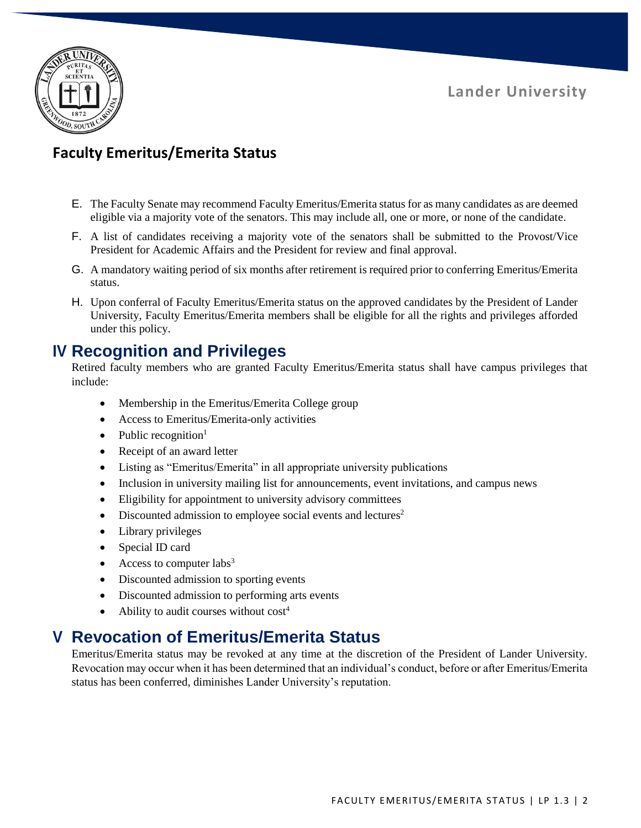



# **Faculty Emeritus/Emerita Status**

- E. The Faculty Senate may recommend Faculty Emeritus/Emerita status for as many candidates as are deemed eligible via a majority vote of the senators. This may include all, one or more, or none of the candidate.
- F. A list of candidates receiving a majority vote of the senators shall be submitted to the Provost/Vice President for Academic Affairs and the President for review and final approval.
- G. A mandatory waiting period of six months after retirement is required prior to conferring Emeritus/Emerita status.
- H. Upon conferral of Faculty Emeritus/Emerita status on the approved candidates by the President of Lander University, Faculty Emeritus/Emerita members shall be eligible for all the rights and privileges afforded under this policy.

## **IV Recognition and Privileges**

Retired faculty members who are granted Faculty Emeritus/Emerita status shall have campus privileges that include:

- Membership in the Emeritus/Emerita College group
- Access to Emeritus/Emerita-only activities
- Public recognition<sup>1</sup>
- Receipt of an award letter
- Listing as "Emeritus/Emerita" in all appropriate university publications
- Inclusion in university mailing list for announcements, event invitations, and campus news
- Eligibility for appointment to university advisory committees
- $\bullet$  Discounted admission to employee social events and lectures<sup>2</sup>
- Library privileges
- Special ID card
- Access to computer labs<sup>3</sup>
- Discounted admission to sporting events
- Discounted admission to performing arts events
- Ability to audit courses without  $cost<sup>4</sup>$

## **V Revocation of Emeritus/Emerita Status**

Emeritus/Emerita status may be revoked at any time at the discretion of the President of Lander University. Revocation may occur when it has been determined that an individual's conduct, before or after Emeritus/Emerita status has been conferred, diminishes Lander University's reputation.